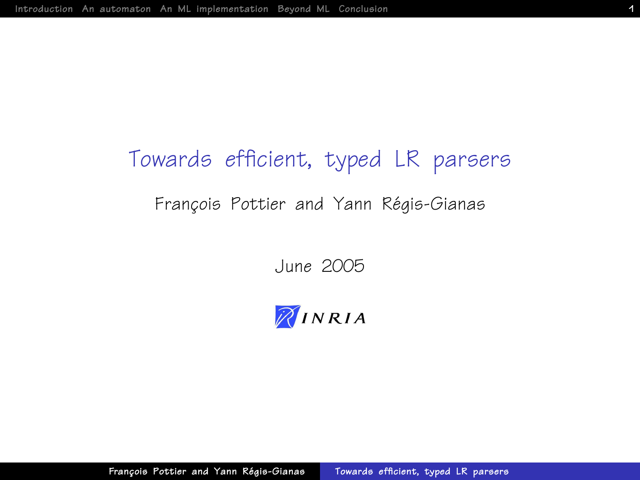# Towards efficient, typed LR parsers

#### François Pottier and Yann Régis-Gianas

June 2005

<span id="page-0-0"></span>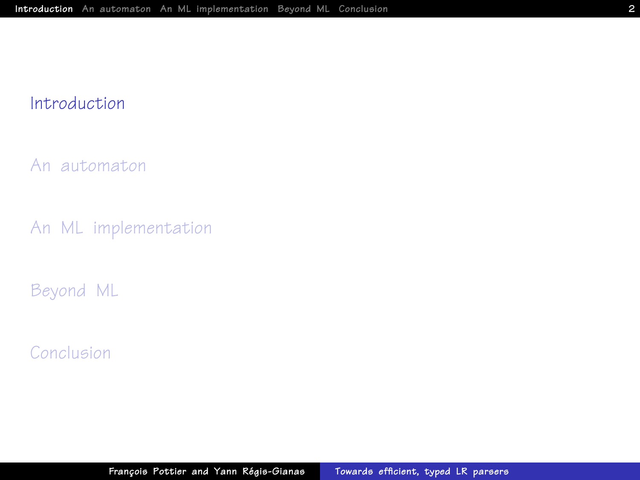#### [Introduction](#page-1-0)

[An automaton](#page-6-0)

[An ML implementation](#page-20-0)

[Beyond ML](#page-29-0)

<span id="page-1-0"></span>[Conclusion](#page-43-0)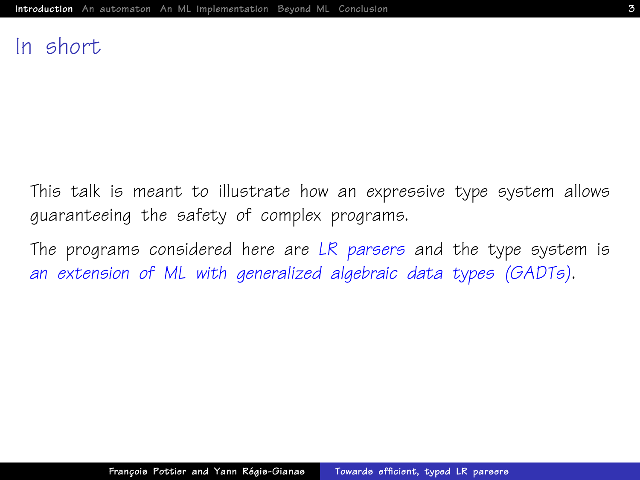#### In short

This talk is meant to illustrate how an expressive type system allows guaranteeing the safety of complex programs.

The programs considered here are LR parsers and the type system is an extension of ML with generalized algebraic data types (GADTs).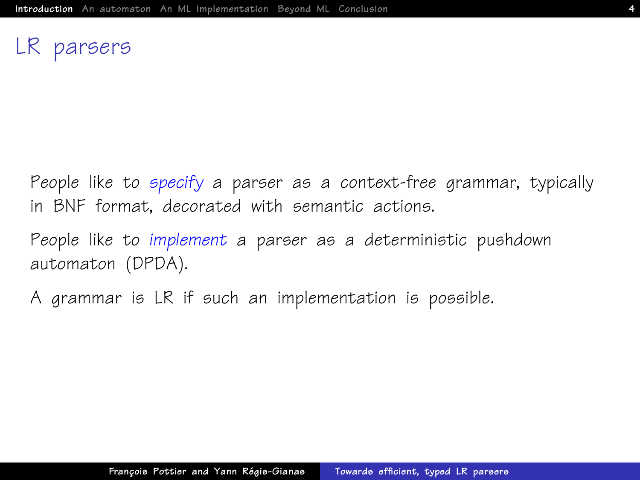### LR parsers

People like to specify a parser as a context-free grammar, typically in BNF format, decorated with semantic actions.

People like to implement a parser as a deterministic pushdown automaton (DPDA).

A grammar is LR if such an implementation is possible.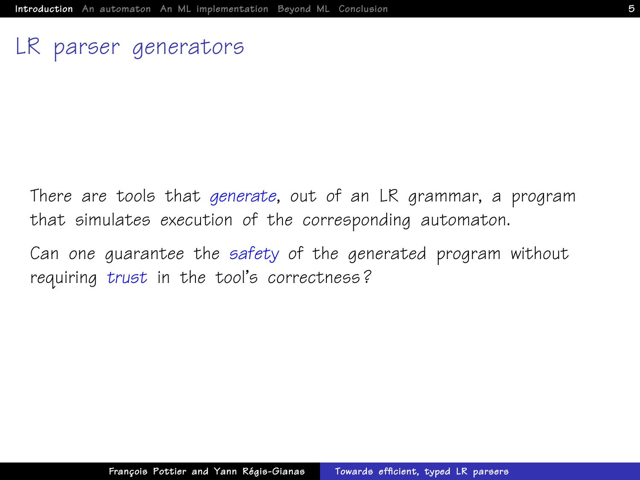### LR parser generators

There are tools that generate, out of an LR grammar, a program that simulates execution of the corresponding automaton.

Can one guarantee the safety of the generated program without requiring trust in the tool's correctness?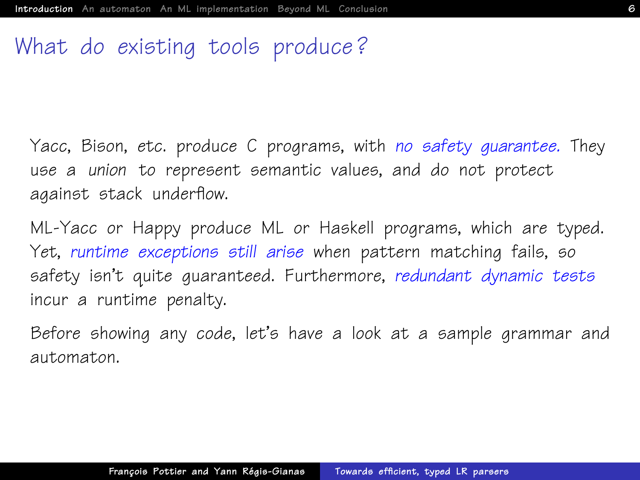# What do existing tools produce ?

Yacc, Bison, etc. produce C programs, with no safety guarantee. They use a union to represent semantic values, and do not protect against stack underflow.

ML-Yacc or Happy produce ML or Haskell programs, which are typed. Yet, runtime exceptions still arise when pattern matching fails, so safety isn't quite guaranteed. Furthermore, redundant dynamic tests incur a runtime penalty.

Before showing any code, let's have a look at a sample grammar and automaton.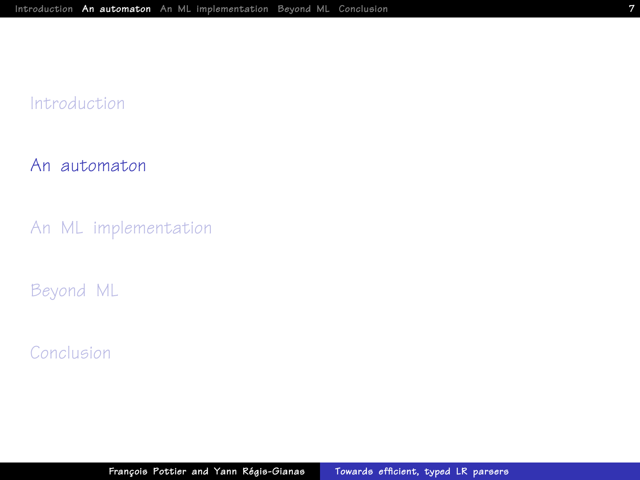#### [Introduction](#page-1-0)

#### [An automaton](#page-6-0)

[An ML implementation](#page-20-0)

[Beyond ML](#page-29-0)

<span id="page-6-0"></span>[Conclusion](#page-43-0)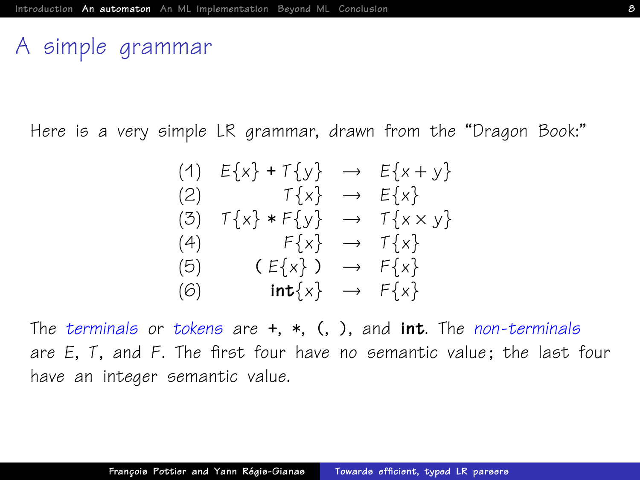## A simple grammar

Here is a very simple LR grammar, drawn from the "Dragon Book:"

$$
(1) \quad E\{x\} + T\{y\} \rightarrow E\{x+y\}
$$
\n
$$
(2) \quad T\{x\} \rightarrow E\{x\}
$$
\n
$$
(3) \quad T\{x\} * F\{y\} \rightarrow T\{x \times y\}
$$
\n
$$
(4) \quad F\{x\} \rightarrow T\{x\}
$$
\n
$$
(5) \quad (E\{x\}) \rightarrow F\{x\}
$$
\n
$$
(6) \quad \text{int}\{x\} \rightarrow F\{x\}
$$

The terminals or tokens are  $+, *, (,)$ , and int. The non-terminals are E, T, and F. The first four have no semantic value ; the last four have an integer semantic value.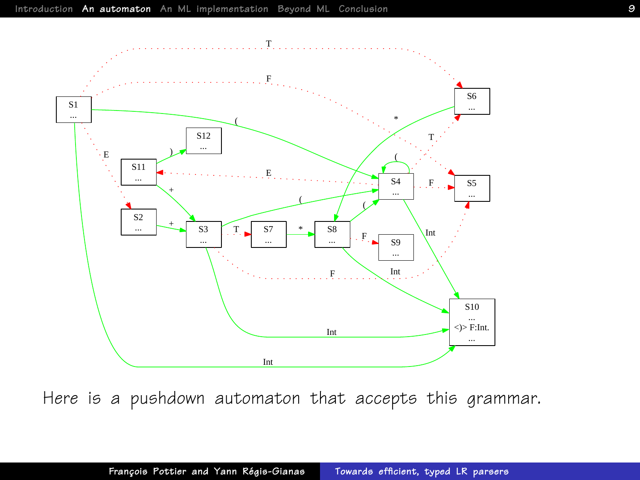

Here is a pushdown automaton that accepts this grammar.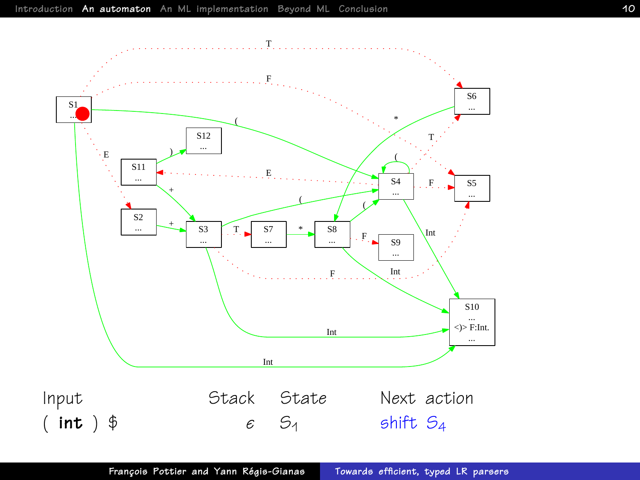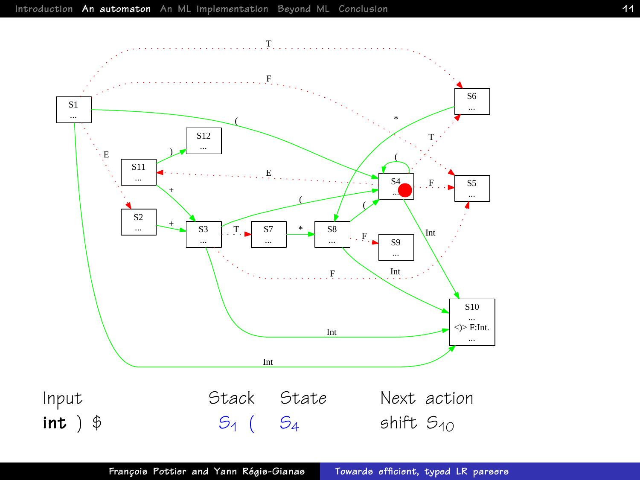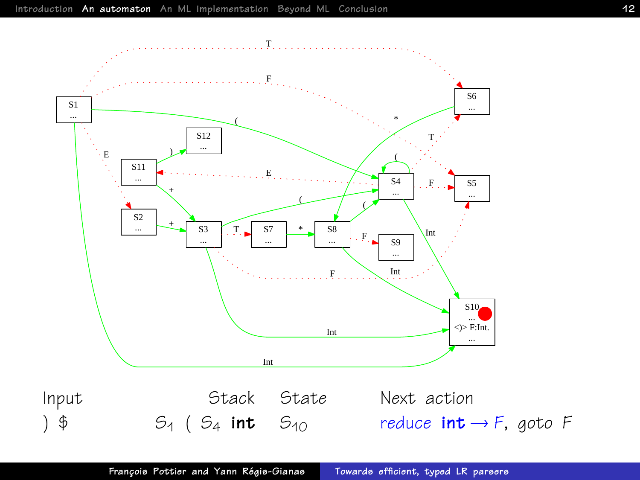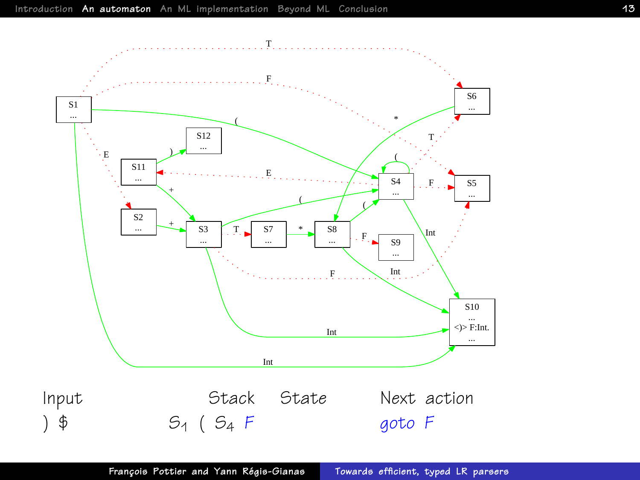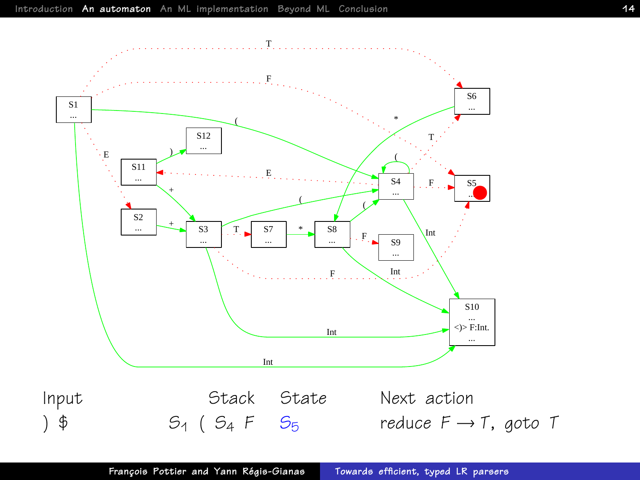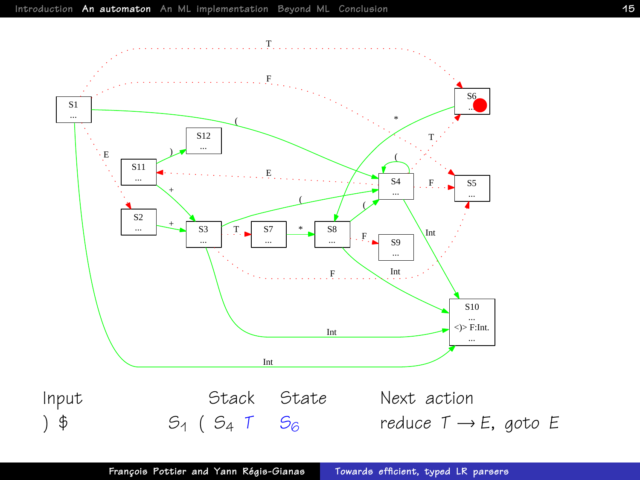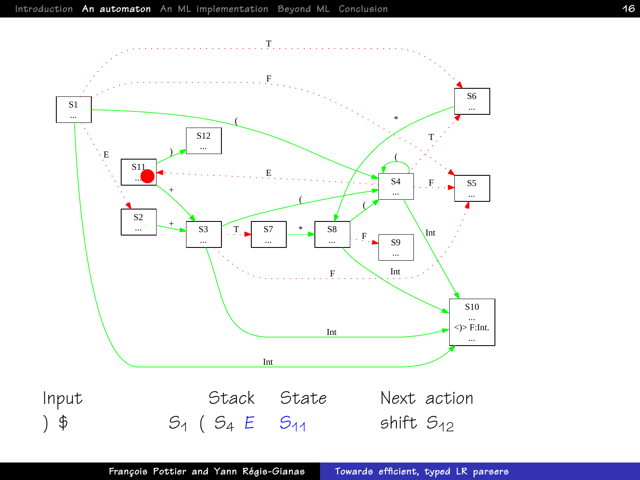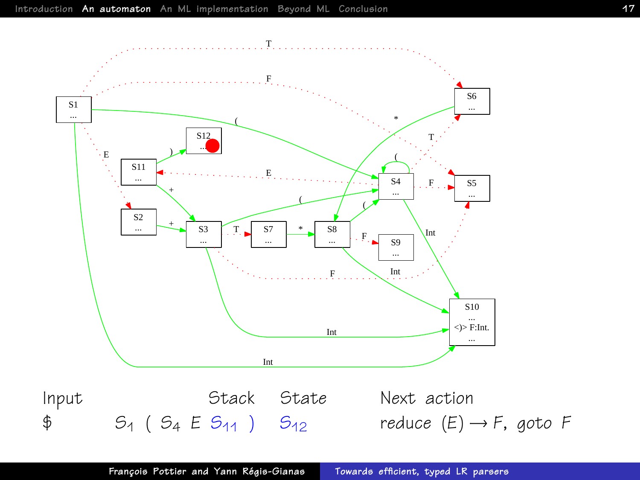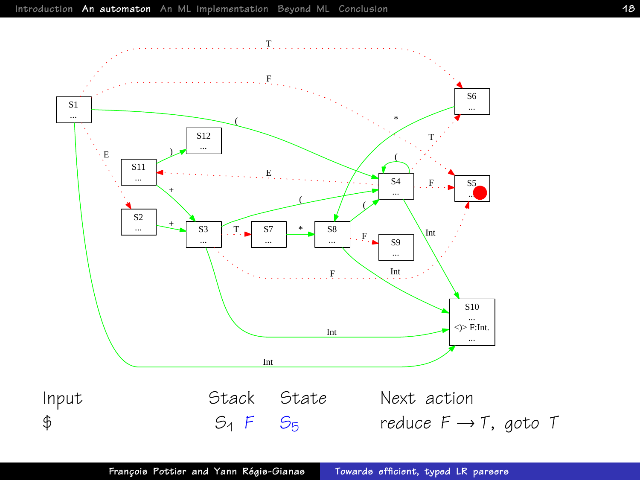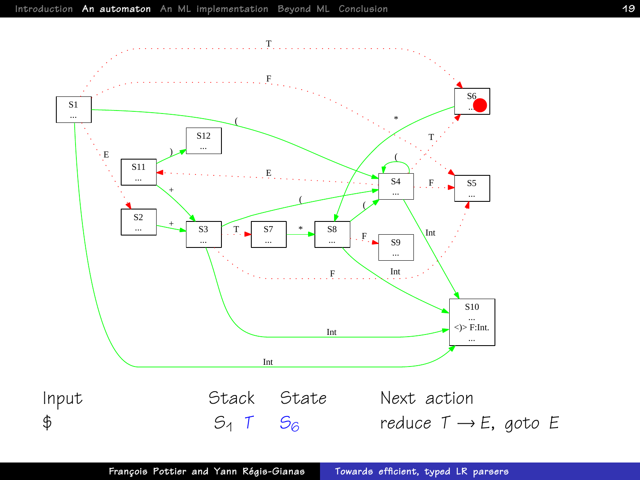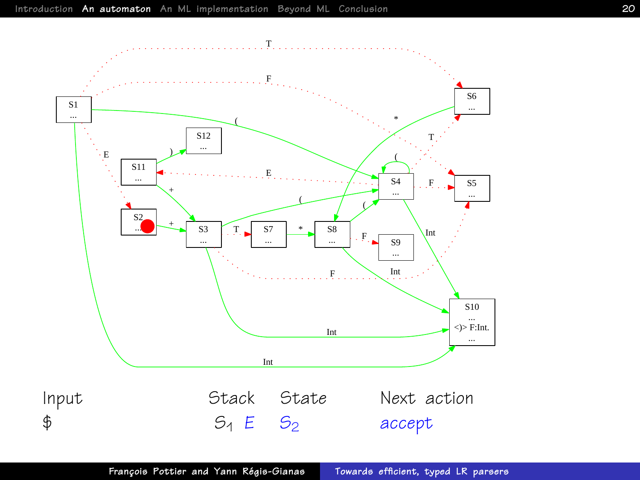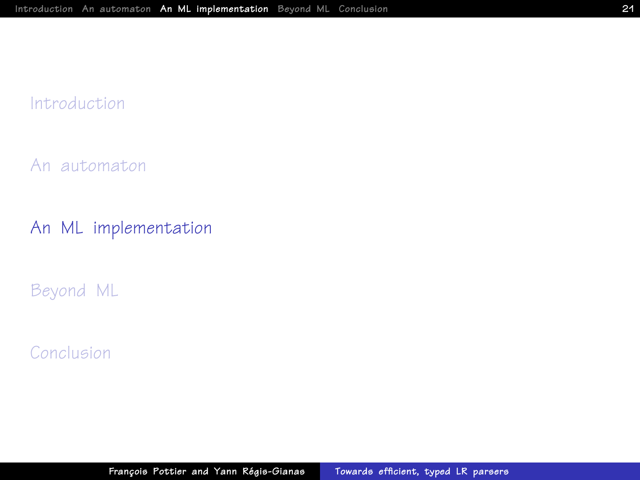#### [Introduction](#page-1-0)

[An automaton](#page-6-0)

[An ML implementation](#page-20-0)

[Beyond ML](#page-29-0)

<span id="page-20-0"></span>[Conclusion](#page-43-0)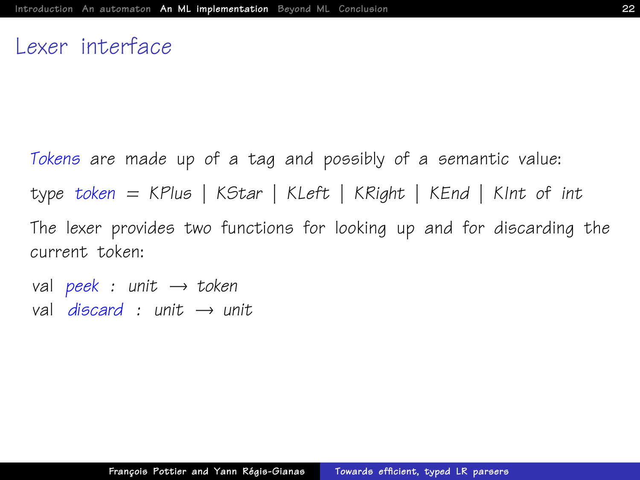#### Lexer interface

Tokens are made up of a tag and possibly of a semantic value: type token = KPlus | KStar | KLeft | KRight | KEnd | KInt of int The lexer provides two functions for looking up and for discarding the current token:

val peek : unit  $\rightarrow$  token val discard : unit  $\rightarrow$  unit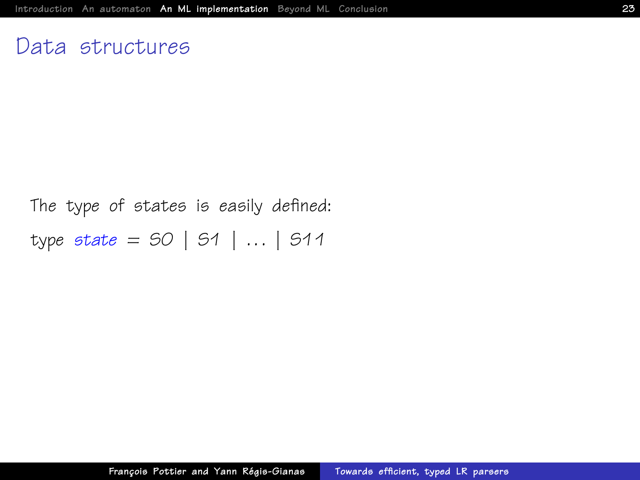#### Data structures

The type of states is easily defined: type state =  $50$  |  $51$  | ... |  $511$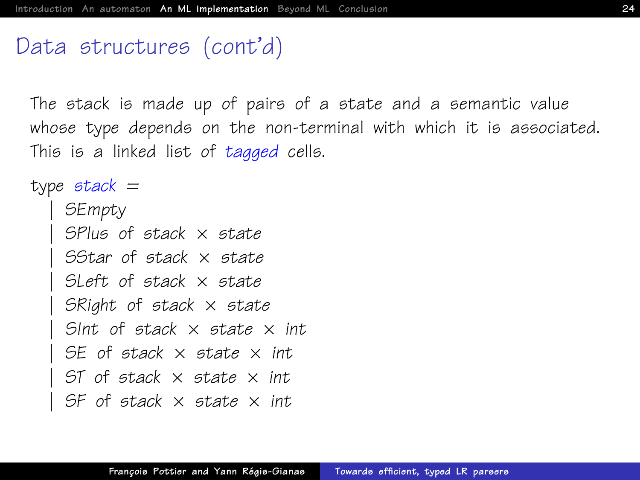### Data structures (cont'd)

<span id="page-23-0"></span>The stack is made up of pairs of a state and a semantic value whose type depends on the non-terminal with which it is associated. This is a linked list of tagged cells.

```
type stack =| SEmpty
    SPlus of stack \times state
    SStar of stack x state
    SLeft of stack \times state
    SRight of stack \times state
    Sint of stack \times state \times int.
    SE of stack \times state \times int
    ST of stack \times state \times int
    SF of stack \times state \times int
```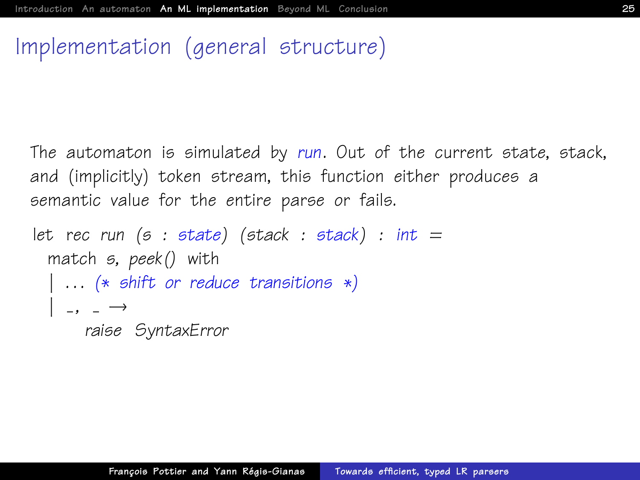# Implementation (general structure)

<span id="page-24-0"></span>The automaton is simulated by run. Out of the current state, stack, and (implicitly) token stream, this function either produces a semantic value for the entire parse or fails.

```
let rec run (s : state) (stack : stack) : int =
 match s, peek() with
   ... (* shift or reduce transitions *)
  | , , = \rightarrowraise SyntaxError
```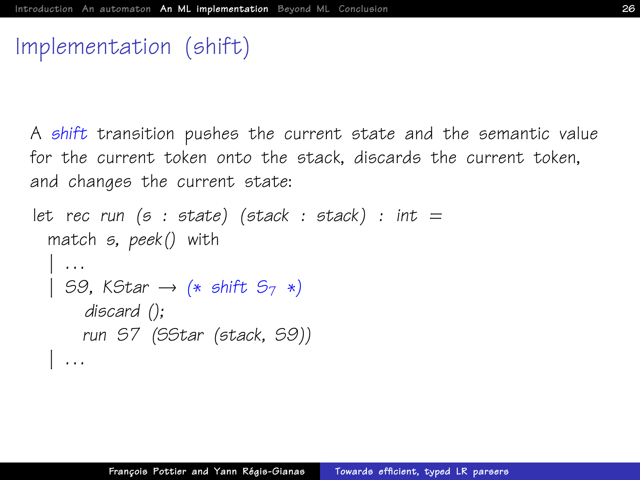# Implementation (shift)

A shift transition pushes the current state and the semantic value for the current token onto the stack, discards the current token, and changes the current state:

```
let rec run (s : state) (stack : stack) : int =
  match s, peek() with
    | . . .
  | S9, KStar \rightarrow (* shift S<sub>7</sub> *)
       discard ();
      run S7 (SStar (stack, S9))
  | . . .
```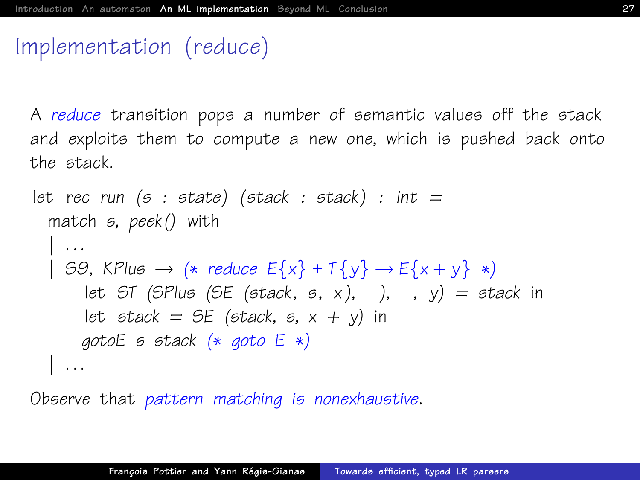# Implementation (reduce)

A reduce transition pops a number of semantic values off the stack and exploits them to compute a new one, which is pushed back onto the stack.

```
let rec run (s : state) (stack : stack) : int =
 match s, peek() with
  | . . .
  | S9, KPlus \rightarrow (* reduce E\{x\} + \mathcal{I}\{y\} \rightarrow E\{x + y\} *)
       let ST (SPlus (SE (stack, s, x), -), -, y) = stack in
       let stack = SE (stack, s, x + y) in
      gotoE s stack (∗ goto E ∗)
  \| \ldots
```
Observe that pattern matching is nonexhaustive.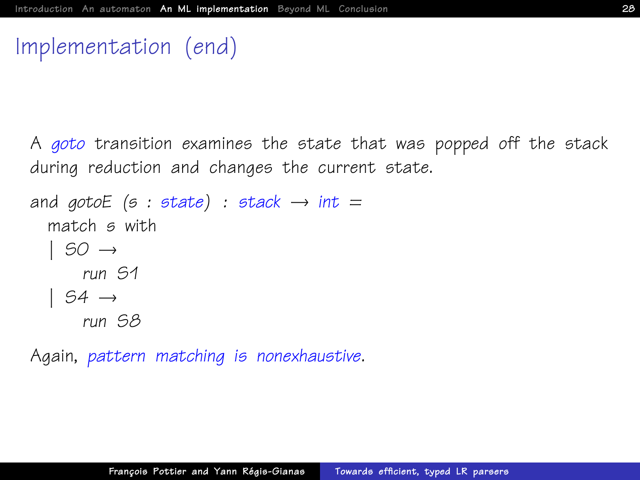### Implementation (end)

A goto transition examines the state that was popped off the stack during reduction and changes the current state.

```
and gotoE (s : state) : stack \rightarrow int =
  match s with
  | SO \rightarrowrun S1
  | S4 \rightarrowrun S8
```
Again, pattern matching is nonexhaustive.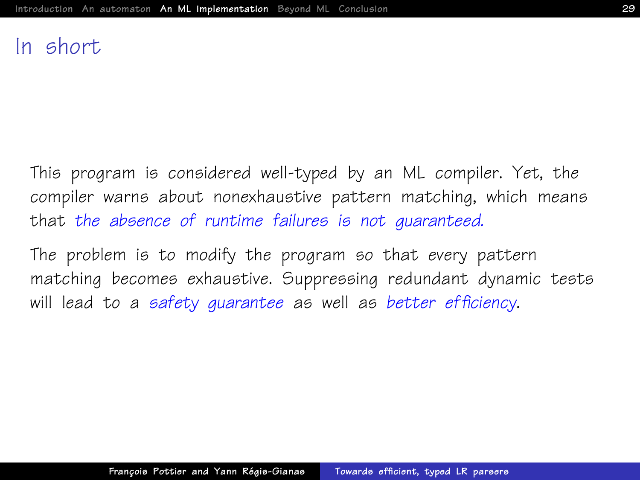### In short

This program is considered well-typed by an ML compiler. Yet, the compiler warns about nonexhaustive pattern matching, which means that the absence of runtime failures is not auaranteed.

The problem is to modify the program so that every pattern matching becomes exhaustive. Suppressing redundant dynamic tests will lead to a safety quarantee as well as better efficiency.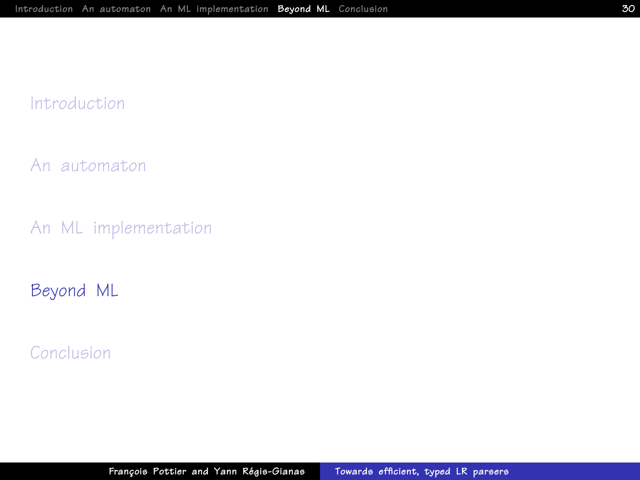#### [Introduction](#page-1-0)

[An automaton](#page-6-0)

[An ML implementation](#page-20-0)

[Beyond ML](#page-29-0)

<span id="page-29-0"></span>[Conclusion](#page-43-0)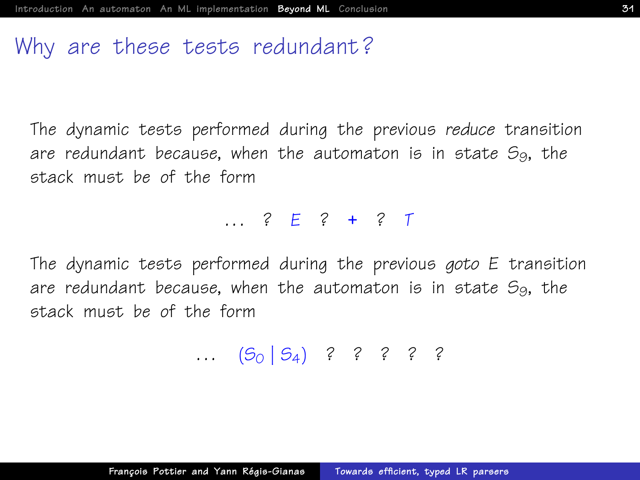### Why are these tests redundant?

The dynamic tests performed during the previous reduce transition are redundant because, when the automaton is in state  $S_9$ , the stack must be of the form

. . . ? E ? + ? T

The dynamic tests performed during the previous goto E transition are redundant because, when the automaton is in state  $S_9$ , the stack must be of the form

...  $(5_0 | 5_4)$  ? ? ? ? ?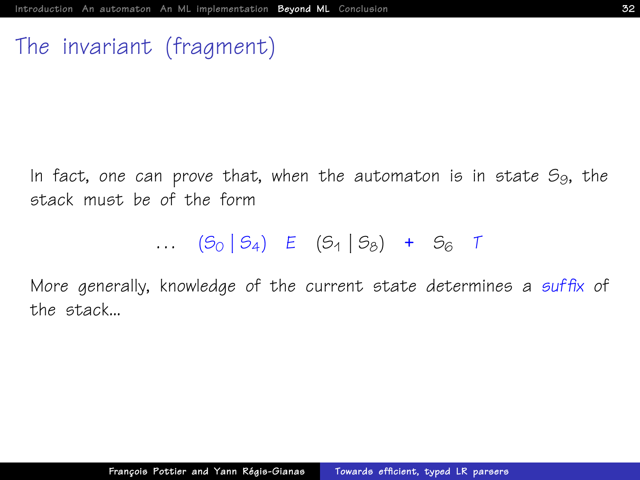# The invariant (fragment)

In fact, one can prove that, when the automaton is in state  $S_9$ , the stack must be of the form

...  $(S_0 | S_4)$  E  $(S_1 | S_8)$  +  $S_6$  T

More generally, knowledge of the current state determines a suffix of the stack...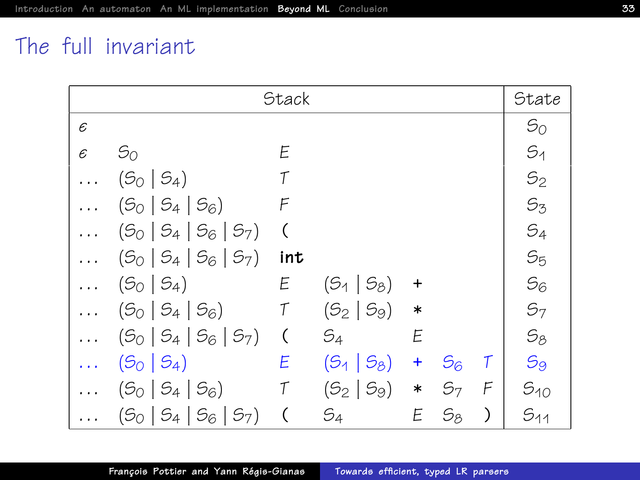# The full invariant

| <b>Stack</b> |                           |                          |                   |         |                | State         |                |
|--------------|---------------------------|--------------------------|-------------------|---------|----------------|---------------|----------------|
| $\epsilon$   |                           |                          |                   |         |                |               | $S_{O}$        |
| $\epsilon$   | $S_{O}$                   | E                        |                   |         |                |               | $S_1$          |
|              | $(5_0   5_4)$             | T                        |                   |         |                |               | $S_2$          |
|              | $(5_0   5_4   5_6)$       | F                        |                   |         |                |               | $S_3$          |
|              | $(5_0   5_4   5_6   5_7)$ | (                        |                   |         |                |               | $S_4$          |
|              | $(5_0   5_4   5_6   5_7)$ | int                      |                   |         |                |               | S <sub>5</sub> |
|              | $(5_{0} \mid 5_{4})$      | E                        | $(5_1 \mid 5_8)$  | $\ddag$ |                |               | $S_6$          |
| $\cdots$     | $(5_{0}   5_{4}   5_{6})$ | $\tau$                   | $(5_2   5_9)$     | $\ast$  |                |               | S <sub>7</sub> |
| $\cdots$     | $(5_0   5_4   5_6   5_7)$ | $\zeta$                  | $S_4$             | E       |                |               | $S_8$          |
|              | $(5_0   5_4)$             | Ε                        | $(5_{1}   5_{8})$ | +       | $S_6$          | Τ             | $S_9$          |
|              | $(5_0   5_4   5_6)$       | $\mathcal T$             | $(5_2   5_9)$     | $\ast$  | S <sub>7</sub> | F             | $S_{10}$       |
|              | $(5_0   5_4   5_6   5_7)$ | $\overline{\mathcal{L}}$ | $S_4$             | E       | $S_{8}$        | $\mathcal{E}$ | $S_{11}$       |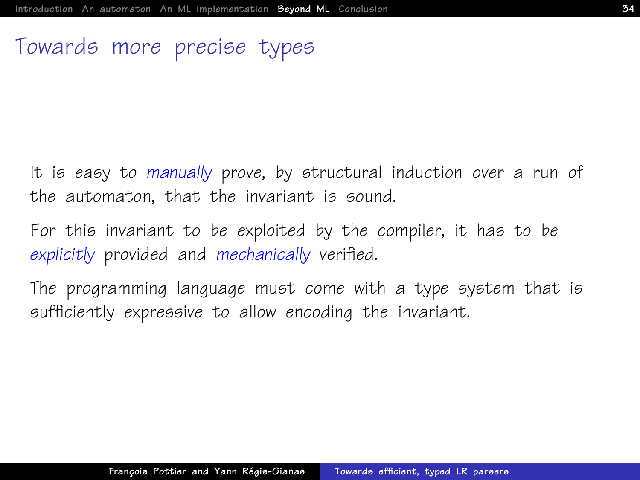# Towards more precise types

It is easy to manually prove, by structural induction over a run of the automaton, that the invariant is sound.

For this invariant to be exploited by the compiler, it has to be explicitly provided and mechanically verified.

The programming language must come with a type system that is sufficiently expressive to allow encoding the invariant.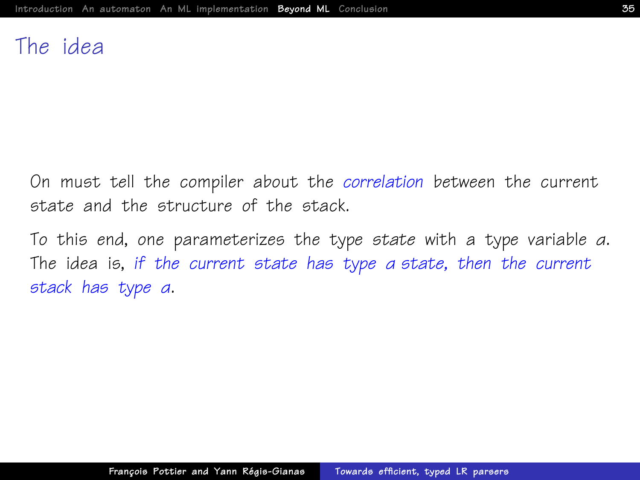### The idea

On must tell the compiler about the correlation between the current state and the structure of the stack.

To this end, one parameterizes the type state with a type variable α. The idea is, if the current state has type α state, then the current stack has type α.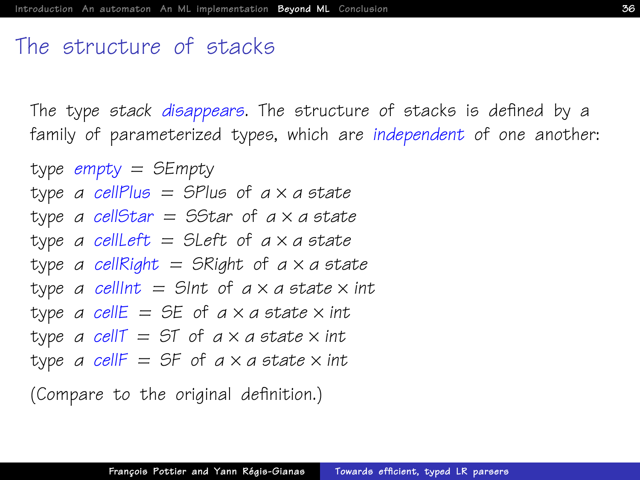### The structure of stacks

The type stack disappears. The structure of stacks is defined by a family of parameterized types, which are independent of one another:

```
type empty = SEmpty
type a cellPlus = SPlus of a \times a state
type a cellStar = SStar of a \times a state
type a cellLeft = SLeft of a \times a state
type a cellRight = SRight of a \times a state
type a cellint = Sint of a \times a state \times int
type a cellE = SE of a \times a state \times int
type a cell T = 5T of a \times a state \times int
type a cellF = SF of a \times a state \times int
```
[\(Compare to the original definition.\)](#page-23-0)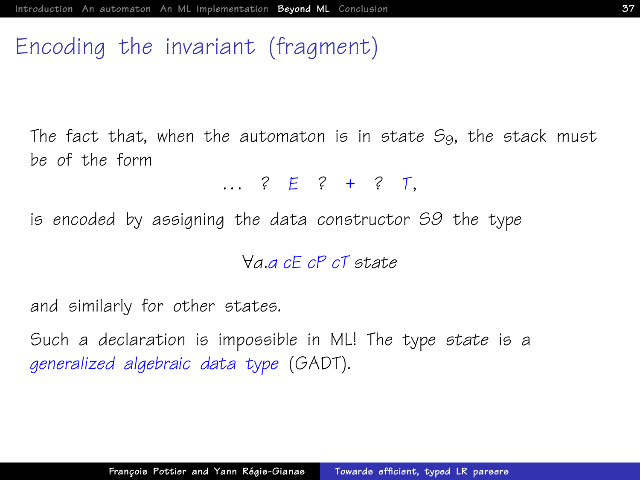### Encoding the invariant (fragment)

The fact that, when the automaton is in state  $S_9$ , the stack must be of the form

. . . ? E ? + ? T,

is encoded by assigning the data constructor S9 the type

∀α.α cE cP cT state

and similarly for other states.

Such a declaration is impossible in ML! The type state is a generalized algebraic data type (GADT).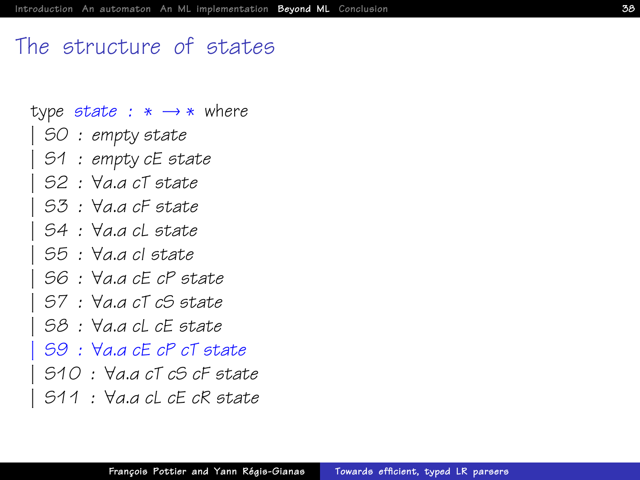### The structure of states

- <span id="page-37-0"></span>type state :  $* \rightarrow *$  where
- | S0 : empty state
	- | S1 : empty cE state
	- | S2 : ∀α.α cT state
	- | S3 : ∀α.α cF state
	- | S4 : ∀α.α cL state
	- | S5 : ∀α.α cI state
	- | S6 : ∀α.α cE cP state
	- | S7 : ∀α.α cT cS state
	- | S8 : ∀α.α cL cE state
	- | S9 : ∀α.α cE cP cT state
	- | S10 : ∀α.α cT cS cF state
	- | S11 : ∀α.α cL cE cR state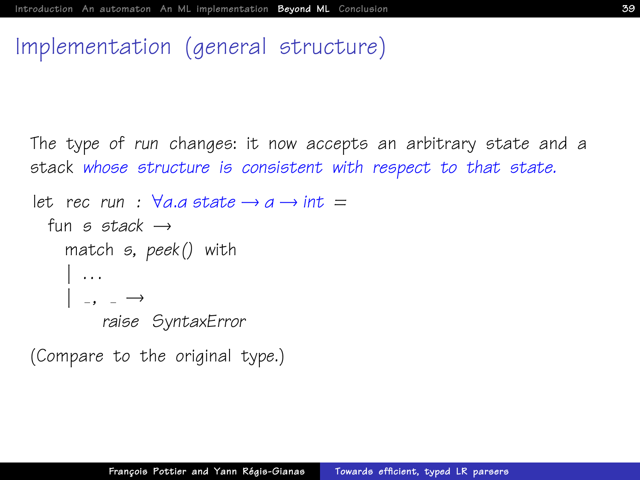## Implementation (general structure)

The type of run changes: it now accepts an arbitrary state and a stack whose structure is consistent with respect to that state.

```
let rec run : \forall a.a \text{ state} \rightarrow a \rightarrow \text{int} =fun s stack \rightarrowmatch s, peek() with
       \vert \cdot \rangle . . .
      | , | , | \rightarrowraise SyntaxError
```
[\(Compare to the original type.\)](#page-24-0)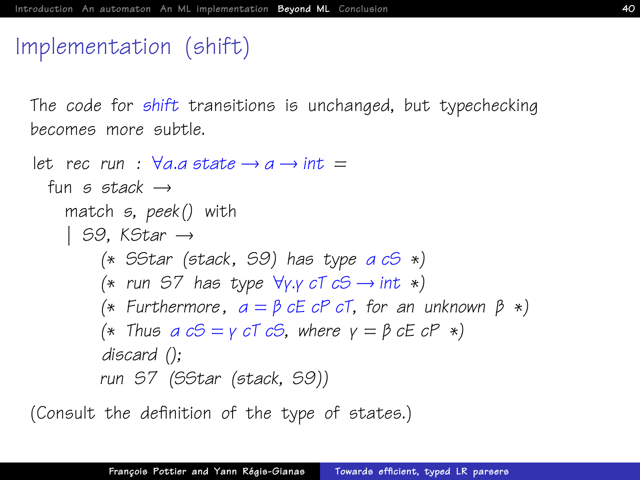# Implementation (shift)

The code for shift transitions is unchanged, but typechecking becomes more subtle.

```
let rec run : \forall a.a \text{ state} \rightarrow a \rightarrow \text{int} =fun s stack \rightarrowmatch s, peek() with
     | S.9. K\mathcal{S}tar \rightarrow(* SStar (stack, S9) has type a cS *)
           (* run S7 has type \forall y. y cT cS \rightarrow int *)
           (* Furthermore, a = \beta cE cP cT, for an unknown \beta *)
           (* Thus a cS = \gamma cT cS, where \gamma = \beta cE cP *)
           discard ();
          run S7 (SStar (stack, S9))
```
[\(Consult the definition of the type of states.\)](#page-37-0)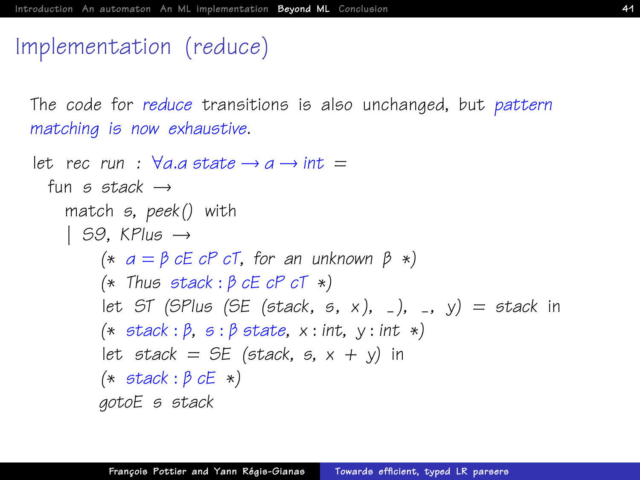# Implementation (reduce)

The code for reduce transitions is also unchanged, but pattern matching is now exhaustive.

```
let rec run : \forall a.a \text{ state} \rightarrow a \rightarrow \text{int} =fun s stack \rightarrowmatch s, peek() with
     | 59. KPlus \rightarrow(* a = \beta cE cP cT, for an unknown \beta *)
          (* Thus stack : \beta cE cP cT *)
          let ST (SPlus (SE (stack, s, x), \Box), \Box, y) = stack in
          (* stack : \beta, \beta : \beta state, x : int, y : int *)let stack = SE (stack, s, x + y) in
          (* stack : \beta cE *)gotoE s stack
```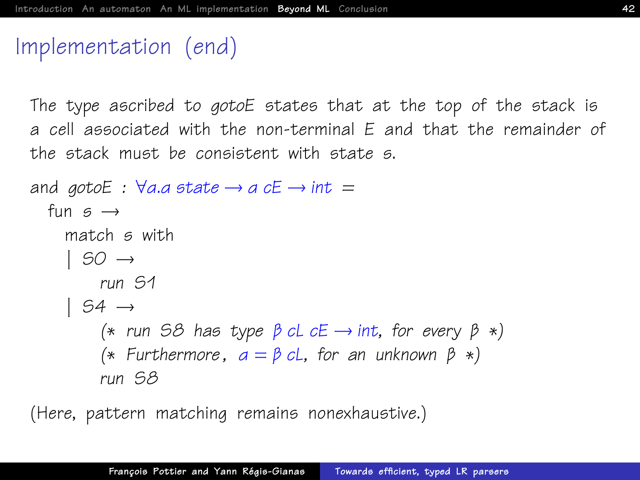### Implementation (end)

The type ascribed to gotoE states that at the top of the stack is a cell associated with the non-terminal E and that the remainder of the stack must be consistent with state s.

```
and gotoE : \forall a.a \text{ state} \rightarrow a \text{ cE} \rightarrow \text{int} =fun s \rightarrowmatch s with
      | SO \rightarrowrun S1
      | S4 \rightarrow(* run S8 has type \beta cL cE \rightarrow int, for every \beta *)
            (* Furthermore, a = \beta cL, for an unknown \beta *)
            run S8
```
(Here, pattern matching remains nonexhaustive.)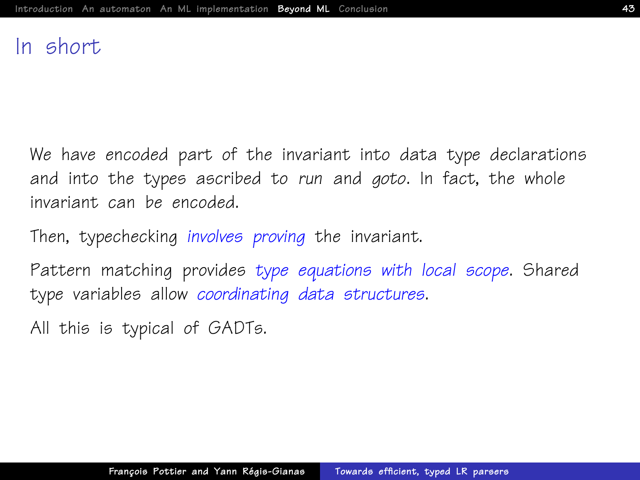### In short

We have encoded part of the invariant into data type declarations and into the types ascribed to run and goto. In fact, the whole invariant can be encoded.

Then, typechecking involves proving the invariant.

Pattern matching provides type equations with local scope. Shared type variables allow coordinating data structures.

All this is typical of GADTs.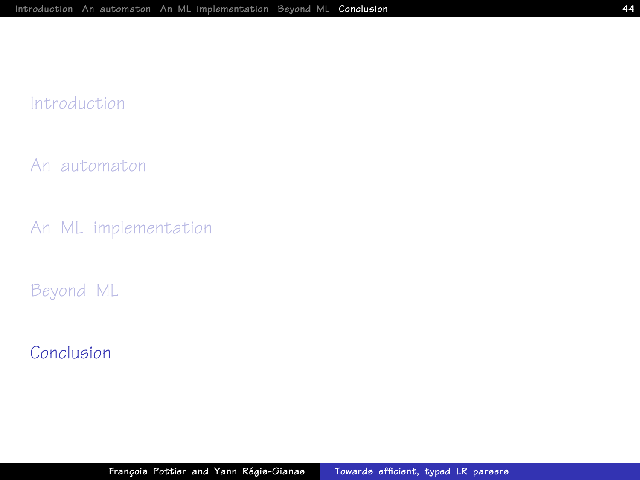#### [Introduction](#page-1-0)

[An automaton](#page-6-0)

[An ML implementation](#page-20-0)

[Beyond ML](#page-29-0)

<span id="page-43-0"></span>[Conclusion](#page-43-0)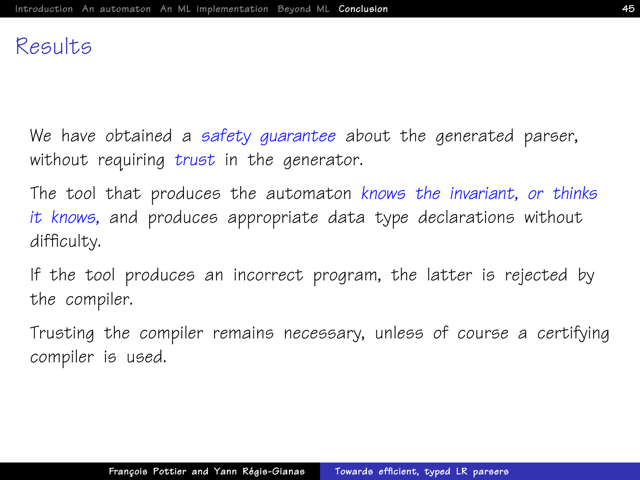### Results

We have obtained a safety quarantee about the generated parser, without requiring trust in the generator.

The tool that produces the automaton knows the invariant, or thinks it knows, and produces appropriate data type declarations without difficulty.

If the tool produces an incorrect program, the latter is rejected by the compiler.

Trusting the compiler remains necessary, unless of course a certifying compiler is used.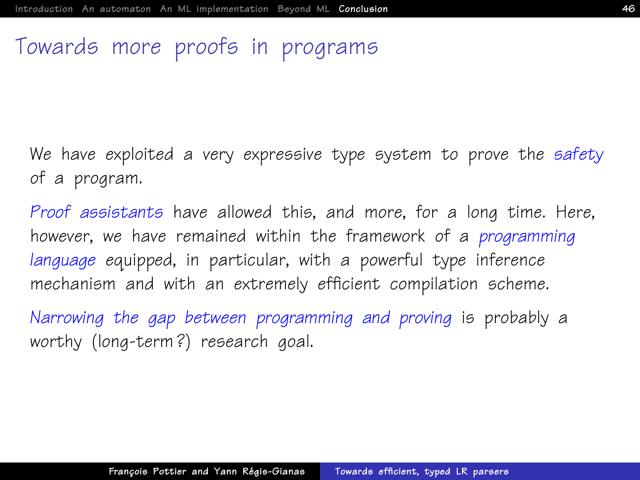### Towards more proofs in programs

We have exploited a very expressive type system to prove the safety of a program.

Proof assistants have allowed this, and more, for a long time. Here, however, we have remained within the framework of a *programming* language equipped, in particular, with a powerful type inference mechanism and with an extremely efficient compilation scheme.

Narrowing the gap between programming and proving is probably a worthy (long-term?) research aoal.